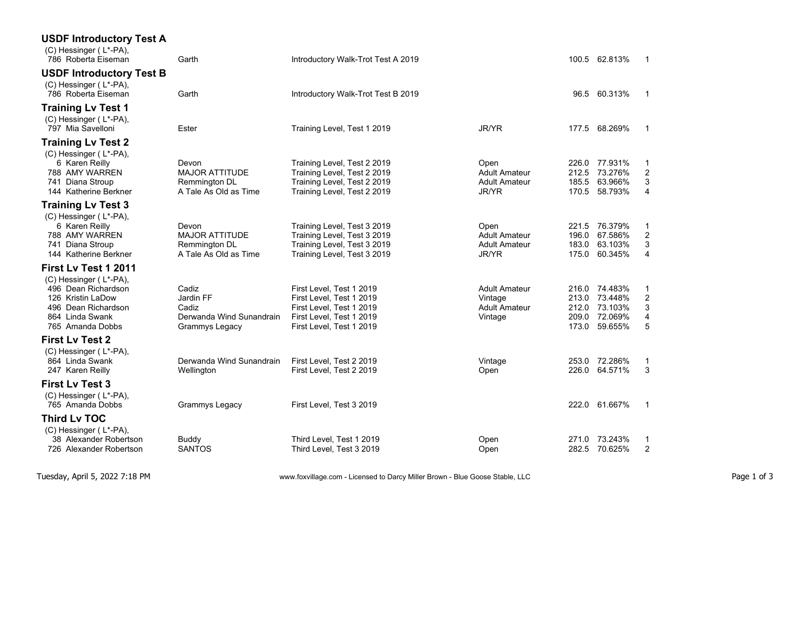| <b>USDF Introductory Test A</b><br>(C) Hessinger (L*-PA),<br>786 Roberta Eiseman                                                                         | Garth                                                                           | Introductory Walk-Trot Test A 2019                                                                                                       |                                                                    |                         | 100.5 62.813%                                                   |                  |
|----------------------------------------------------------------------------------------------------------------------------------------------------------|---------------------------------------------------------------------------------|------------------------------------------------------------------------------------------------------------------------------------------|--------------------------------------------------------------------|-------------------------|-----------------------------------------------------------------|------------------|
| <b>USDF Introductory Test B</b><br>(C) Hessinger (L*-PA),<br>786 Roberta Eiseman                                                                         | Garth                                                                           | Introductory Walk-Trot Test B 2019                                                                                                       |                                                                    | 96.5                    | 60.313%                                                         |                  |
| <b>Training Lv Test 1</b><br>(C) Hessinger (L*-PA),<br>797 Mia Savelloni                                                                                 | Ester                                                                           | Training Level, Test 1 2019                                                                                                              | JR/YR                                                              | 177.5                   | 68.269%                                                         |                  |
| <b>Training Lv Test 2</b><br>(C) Hessinger (L*-PA),<br>6 Karen Reilly<br>788 AMY WARREN<br>741 Diana Stroup<br>144 Katherine Berkner                     | Devon<br><b>MAJOR ATTITUDE</b><br>Remmington DL<br>A Tale As Old as Time        | Training Level, Test 2 2019<br>Training Level, Test 2 2019<br>Training Level, Test 2 2019<br>Training Level, Test 2 2019                 | Open<br><b>Adult Amateur</b><br><b>Adult Amateur</b><br>JR/YR      | 226.0<br>212.5<br>185.5 | 77.931%<br>73.276%<br>63.966%<br>170.5 58.793%                  | 3<br>4           |
| <b>Training Lv Test 3</b><br>(C) Hessinger (L*-PA),<br>6 Karen Reilly<br>788 AMY WARREN<br>741 Diana Stroup<br>144 Katherine Berkner                     | Devon<br><b>MAJOR ATTITUDE</b><br><b>Remmington DL</b><br>A Tale As Old as Time | Training Level, Test 3 2019<br>Training Level, Test 3 2019<br>Training Level, Test 3 2019<br>Training Level, Test 3 2019                 | Open<br><b>Adult Amateur</b><br><b>Adult Amateur</b><br>JR/YR      | 221.5<br>196.0<br>183.0 | 76.379%<br>67.586%<br>63.103%<br>175.0 60.345%                  | 1<br>2<br>3<br>4 |
| First Ly Test 1 2011<br>(C) Hessinger (L*-PA),<br>496 Dean Richardson<br>126 Kristin LaDow<br>496 Dean Richardson<br>864 Linda Swank<br>765 Amanda Dobbs | Cadiz<br>Jardin FF<br>Cadiz<br>Derwanda Wind Sunandrain<br>Grammys Legacy       | First Level, Test 1 2019<br>First Level, Test 1 2019<br>First Level, Test 1 2019<br>First Level, Test 1 2019<br>First Level, Test 1 2019 | <b>Adult Amateur</b><br>Vintage<br><b>Adult Amateur</b><br>Vintage | 216.0<br>213.0<br>212.0 | 74.483%<br>73.448%<br>73.103%<br>209.0 72.069%<br>173.0 59.655% | 2<br>3<br>4<br>5 |
| <b>First Lv Test 2</b><br>(C) Hessinger (L*-PA),<br>864 Linda Swank<br>247 Karen Reilly                                                                  | Derwanda Wind Sunandrain<br>Wellington                                          | First Level, Test 2 2019<br>First Level, Test 2 2019                                                                                     | Vintage<br>Open                                                    |                         | 253.0 72.286%<br>226.0 64.571%                                  | 3                |
| <b>First Lv Test 3</b><br>$(C)$ Hessinger (L*-PA),<br>765 Amanda Dobbs                                                                                   | Grammys Legacy                                                                  | First Level, Test 3 2019                                                                                                                 |                                                                    |                         | 222.0 61.667%                                                   |                  |
| <b>Third Lv TOC</b><br>(C) Hessinger (L*-PA),<br>38 Alexander Robertson<br>726 Alexander Robertson                                                       | Buddy<br><b>SANTOS</b>                                                          | Third Level, Test 1 2019<br>Third Level, Test 3 2019                                                                                     | Open<br>Open                                                       | 271.0<br>282.5          | 73.243%<br>70.625%                                              | 1<br>2           |

Tuesday, April 5, 2022 7:18 PM www.foxvillage.com - Licensed to Darcy Miller Brown - Blue Goose Stable, LLC Page 1 of 3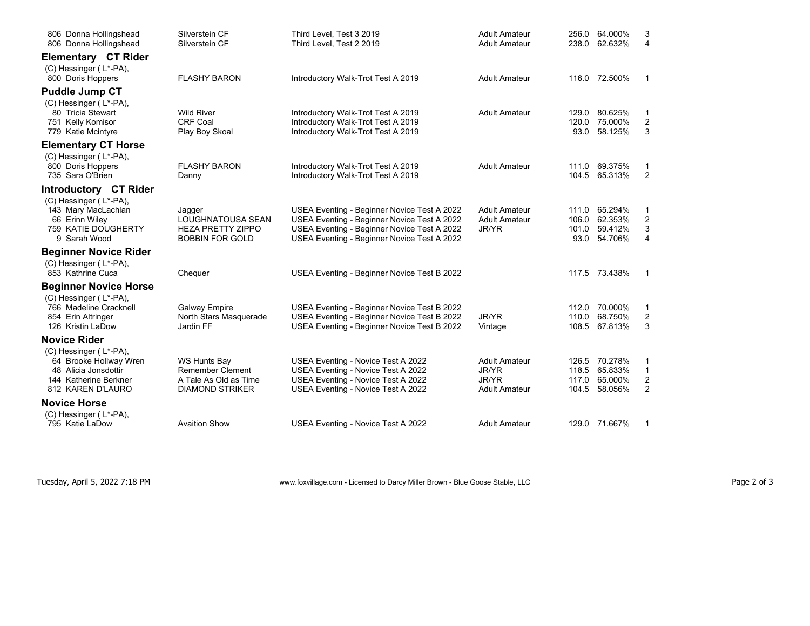| 806 Donna Hollingshead<br>806 Donna Hollingshead | Silverstein CF<br>Silverstein CF               | Third Level, Test 3 2019<br>Third Level. Test 2 2019                     | <b>Adult Amateur</b><br><b>Adult Amateur</b> | 256.0<br>238.0 | 64.000%<br>62.632% | 3<br>4                  |
|--------------------------------------------------|------------------------------------------------|--------------------------------------------------------------------------|----------------------------------------------|----------------|--------------------|-------------------------|
| Elementary CT Rider                              |                                                |                                                                          |                                              |                |                    |                         |
| (C) Hessinger (L*-PA),<br>800 Doris Hoppers      | <b>FLASHY BARON</b>                            | Introductory Walk-Trot Test A 2019                                       | <b>Adult Amateur</b>                         |                | 116.0 72.500%      | $\mathbf{1}$            |
| <b>Puddle Jump CT</b>                            |                                                |                                                                          |                                              |                |                    |                         |
| (C) Hessinger (L*-PA),                           |                                                |                                                                          |                                              |                |                    |                         |
| 80 Tricia Stewart                                | <b>Wild River</b>                              | Introductory Walk-Trot Test A 2019                                       | <b>Adult Amateur</b>                         | 129.0          | 80.625%            | 1                       |
| 751 Kelly Komisor                                | <b>CRF Coal</b>                                | Introductory Walk-Trot Test A 2019                                       |                                              | 120.0          | 75.000%            | $\overline{\mathbf{c}}$ |
| 779 Katie Mcintyre                               | Play Boy Skoal                                 | Introductory Walk-Trot Test A 2019                                       |                                              | 93.0           | 58.125%            | 3                       |
| <b>Elementary CT Horse</b>                       |                                                |                                                                          |                                              |                |                    |                         |
| (C) Hessinger (L*-PA),                           |                                                |                                                                          |                                              |                |                    |                         |
| 800 Doris Hoppers                                | <b>FLASHY BARON</b>                            | Introductory Walk-Trot Test A 2019                                       | <b>Adult Amateur</b>                         | 111.0          | 69.375%            | 1                       |
| 735 Sara O'Brien                                 | Danny                                          | Introductory Walk-Trot Test A 2019                                       |                                              | 104.5          | 65.313%            | $\overline{2}$          |
| Introductory CT Rider                            |                                                |                                                                          |                                              |                |                    |                         |
| $(C)$ Hessinger (L*-PA),<br>143 Mary MacLachlan  |                                                | USEA Eventing - Beginner Novice Test A 2022                              | <b>Adult Amateur</b>                         | 111.0          | 65.294%            | 1                       |
| 66 Erinn Wiley                                   | Jagger<br>LOUGHNATOUSA SEAN                    | USEA Eventing - Beginner Novice Test A 2022                              | <b>Adult Amateur</b>                         | 106.0          | 62.353%            | $\overline{\mathbf{c}}$ |
| 759 KATIE DOUGHERTY                              | <b>HEZA PRETTY ZIPPO</b>                       | USEA Eventing - Beginner Novice Test A 2022                              | JR/YR                                        | 101.0          | 59.412%            | 3                       |
| 9 Sarah Wood                                     | <b>BOBBIN FOR GOLD</b>                         | USEA Eventing - Beginner Novice Test A 2022                              |                                              | 93.0           | 54.706%            | 4                       |
| <b>Beginner Novice Rider</b>                     |                                                |                                                                          |                                              |                |                    |                         |
| (C) Hessinger (L*-PA),                           |                                                |                                                                          |                                              |                |                    |                         |
| 853 Kathrine Cuca                                | Chequer                                        | USEA Eventing - Beginner Novice Test B 2022                              |                                              |                | 117.5 73.438%      | $\mathbf{1}$            |
| <b>Beginner Novice Horse</b>                     |                                                |                                                                          |                                              |                |                    |                         |
| (C) Hessinger (L*-PA),                           |                                                |                                                                          |                                              |                |                    |                         |
| 766 Madeline Cracknell                           | <b>Galway Empire</b>                           | USEA Eventing - Beginner Novice Test B 2022                              |                                              | 112.0          | 70.000%            | 1                       |
| 854 Erin Altringer                               | North Stars Masquerade                         | USEA Eventing - Beginner Novice Test B 2022                              | JR/YR                                        | 110.0          | 68.750%            | $\overline{\mathbf{c}}$ |
| 126 Kristin LaDow                                | Jardin FF                                      | USEA Eventing - Beginner Novice Test B 2022                              | Vintage                                      | 108.5          | 67.813%            | 3                       |
| <b>Novice Rider</b>                              |                                                |                                                                          |                                              |                |                    |                         |
| (C) Hessinger (L*-PA),                           |                                                |                                                                          |                                              |                |                    |                         |
| 64 Brooke Hollway Wren<br>48 Alicia Jonsdottir   | <b>WS Hunts Bay</b><br><b>Remember Clement</b> | USEA Eventing - Novice Test A 2022<br>USEA Eventing - Novice Test A 2022 | <b>Adult Amateur</b><br>JR/YR                | 126.5<br>118.5 | 70.278%<br>65.833% | 1<br>$\mathbf{1}$       |
| 144 Katherine Berkner                            | A Tale As Old as Time                          | USEA Eventing - Novice Test A 2022                                       | JR/YR                                        | 117.0          | 65.000%            | $\overline{c}$          |
| 812 KAREN D'LAURO                                | <b>DIAMOND STRIKER</b>                         | USEA Eventing - Novice Test A 2022                                       | <b>Adult Amateur</b>                         | 104.5          | 58.056%            | $\overline{c}$          |
| <b>Novice Horse</b>                              |                                                |                                                                          |                                              |                |                    |                         |
| (C) Hessinger (L*-PA),                           |                                                |                                                                          |                                              |                |                    |                         |
| 795 Katie LaDow                                  | <b>Avaition Show</b>                           | USEA Eventing - Novice Test A 2022                                       | <b>Adult Amateur</b>                         |                | 129.0 71.667%      | 1                       |

Tuesday, April 5, 2022 7:18 PM **WWW.foxvillage.com - Licensed to Darcy Miller Brown - Blue Goose Stable, LLC** Page 2 of 3